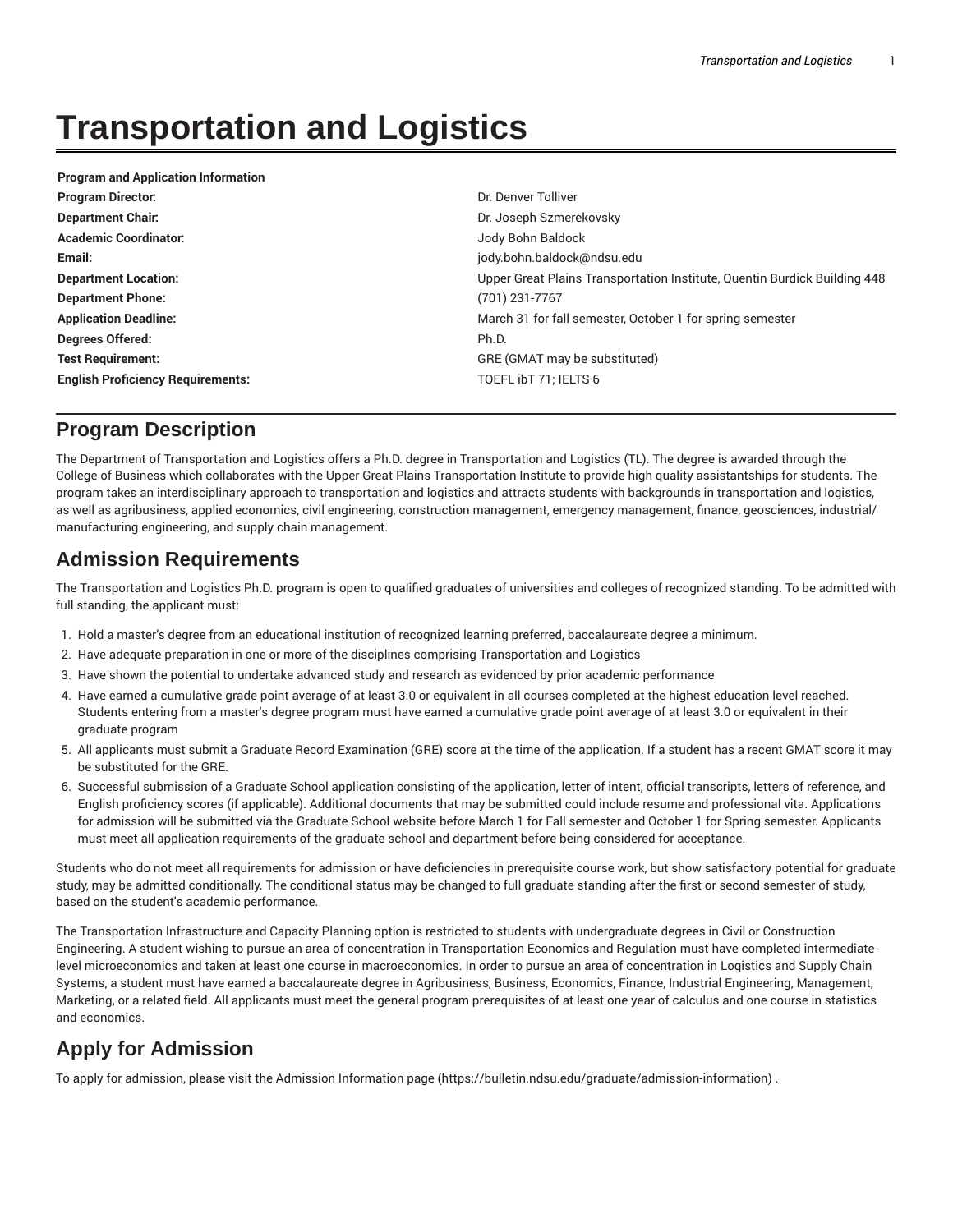# **Transportation and Logistics**

| <b>Program and Application Information</b> |                                                                           |  |
|--------------------------------------------|---------------------------------------------------------------------------|--|
| <b>Program Director:</b>                   | Dr. Denver Tolliver                                                       |  |
| <b>Department Chair.</b>                   | Dr. Joseph Szmerekovsky                                                   |  |
| <b>Academic Coordinator:</b>               | Jody Bohn Baldock                                                         |  |
| Email:                                     | jody.bohn.baldock@ndsu.edu                                                |  |
| <b>Department Location:</b>                | Upper Great Plains Transportation Institute, Quentin Burdick Building 448 |  |
| <b>Department Phone:</b>                   | (701) 231-7767                                                            |  |
| <b>Application Deadline:</b>               | March 31 for fall semester, October 1 for spring semester                 |  |
| Degrees Offered:                           | Ph.D.                                                                     |  |
| <b>Test Requirement:</b>                   | GRE (GMAT may be substituted)                                             |  |
| <b>English Proficiency Requirements:</b>   | TOEFL ibT 71; IELTS 6                                                     |  |

## **Program Description**

The Department of Transportation and Logistics offers a Ph.D. degree in Transportation and Logistics (TL). The degree is awarded through the College of Business which collaborates with the Upper Great Plains Transportation Institute to provide high quality assistantships for students. The program takes an interdisciplinary approach to transportation and logistics and attracts students with backgrounds in transportation and logistics, as well as agribusiness, applied economics, civil engineering, construction management, emergency management, finance, geosciences, industrial/ manufacturing engineering, and supply chain management.

## **Admission Requirements**

The Transportation and Logistics Ph.D. program is open to qualified graduates of universities and colleges of recognized standing. To be admitted with full standing, the applicant must:

- 1. Hold a master's degree from an educational institution of recognized learning preferred, baccalaureate degree a minimum.
- 2. Have adequate preparation in one or more of the disciplines comprising Transportation and Logistics
- 3. Have shown the potential to undertake advanced study and research as evidenced by prior academic performance
- 4. Have earned a cumulative grade point average of at least 3.0 or equivalent in all courses completed at the highest education level reached. Students entering from a master's degree program must have earned a cumulative grade point average of at least 3.0 or equivalent in their graduate program
- 5. All applicants must submit a Graduate Record Examination (GRE) score at the time of the application. If a student has a recent GMAT score it may be substituted for the GRE.
- 6. Successful submission of a Graduate School application consisting of the application, letter of intent, official transcripts, letters of reference, and English proficiency scores (if applicable). Additional documents that may be submitted could include resume and professional vita. Applications for admission will be submitted via the Graduate School website before March 1 for Fall semester and October 1 for Spring semester. Applicants must meet all application requirements of the graduate school and department before being considered for acceptance.

Students who do not meet all requirements for admission or have deficiencies in prerequisite course work, but show satisfactory potential for graduate study, may be admitted conditionally. The conditional status may be changed to full graduate standing after the first or second semester of study, based on the student's academic performance.

The Transportation Infrastructure and Capacity Planning option is restricted to students with undergraduate degrees in Civil or Construction Engineering. A student wishing to pursue an area of concentration in Transportation Economics and Regulation must have completed intermediatelevel microeconomics and taken at least one course in macroeconomics. In order to pursue an area of concentration in Logistics and Supply Chain Systems, a student must have earned a baccalaureate degree in Agribusiness, Business, Economics, Finance, Industrial Engineering, Management, Marketing, or a related field. All applicants must meet the general program prerequisites of at least one year of calculus and one course in statistics and economics.

# **Apply for Admission**

To apply for admission, please visit the Admission Information page (https://bulletin.ndsu.edu/graduate/admission-information) .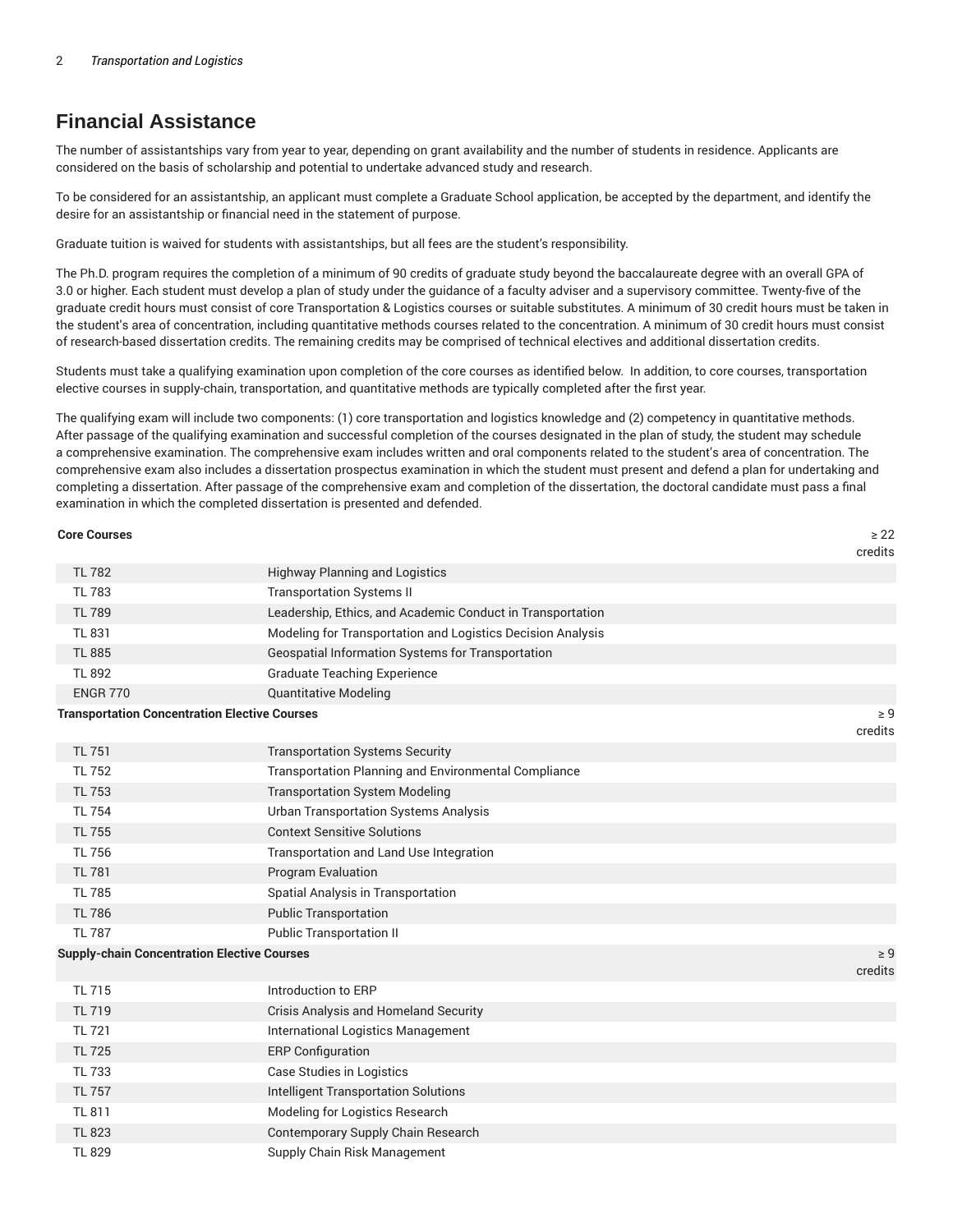# **Financial Assistance**

The number of assistantships vary from year to year, depending on grant availability and the number of students in residence. Applicants are considered on the basis of scholarship and potential to undertake advanced study and research.

To be considered for an assistantship, an applicant must complete a Graduate School application, be accepted by the department, and identify the desire for an assistantship or financial need in the statement of purpose.

Graduate tuition is waived for students with assistantships, but all fees are the student's responsibility.

The Ph.D. program requires the completion of a minimum of 90 credits of graduate study beyond the baccalaureate degree with an overall GPA of 3.0 or higher. Each student must develop a plan of study under the guidance of a faculty adviser and a supervisory committee. Twenty-five of the graduate credit hours must consist of core Transportation & Logistics courses or suitable substitutes. A minimum of 30 credit hours must be taken in the student's area of concentration, including quantitative methods courses related to the concentration. A minimum of 30 credit hours must consist of research-based dissertation credits. The remaining credits may be comprised of technical electives and additional dissertation credits.

Students must take a qualifying examination upon completion of the core courses as identified below. In addition, to core courses, transportation elective courses in supply-chain, transportation, and quantitative methods are typically completed after the first year.

The qualifying exam will include two components: (1) core transportation and logistics knowledge and (2) competency in quantitative methods. After passage of the qualifying examination and successful completion of the courses designated in the plan of study, the student may schedule a comprehensive examination. The comprehensive exam includes written and oral components related to the student's area of concentration. The comprehensive exam also includes a dissertation prospectus examination in which the student must present and defend a plan for undertaking and completing a dissertation. After passage of the comprehensive exam and completion of the dissertation, the doctoral candidate must pass a final examination in which the completed dissertation is presented and defended.

| <b>Core Courses</b>                                  |                                                             | $\geq 22$<br>credits |
|------------------------------------------------------|-------------------------------------------------------------|----------------------|
| <b>TL 782</b>                                        | <b>Highway Planning and Logistics</b>                       |                      |
| <b>TL 783</b>                                        | <b>Transportation Systems II</b>                            |                      |
| <b>TL 789</b>                                        | Leadership, Ethics, and Academic Conduct in Transportation  |                      |
| <b>TL 831</b>                                        | Modeling for Transportation and Logistics Decision Analysis |                      |
| <b>TL 885</b>                                        | Geospatial Information Systems for Transportation           |                      |
| <b>TL 892</b>                                        | <b>Graduate Teaching Experience</b>                         |                      |
| <b>ENGR 770</b>                                      | <b>Quantitative Modeling</b>                                |                      |
| <b>Transportation Concentration Elective Courses</b> |                                                             | $\geq 9$             |
|                                                      |                                                             | credits              |
| <b>TL 751</b>                                        | <b>Transportation Systems Security</b>                      |                      |
| <b>TL 752</b>                                        | Transportation Planning and Environmental Compliance        |                      |
| <b>TL 753</b>                                        | <b>Transportation System Modeling</b>                       |                      |
| <b>TL 754</b>                                        | <b>Urban Transportation Systems Analysis</b>                |                      |
| <b>TL 755</b>                                        | <b>Context Sensitive Solutions</b>                          |                      |
| <b>TL 756</b>                                        | Transportation and Land Use Integration                     |                      |
| <b>TL 781</b>                                        | Program Evaluation                                          |                      |
| <b>TL 785</b>                                        | Spatial Analysis in Transportation                          |                      |
| <b>TL 786</b>                                        | <b>Public Transportation</b>                                |                      |
| <b>TL 787</b>                                        | <b>Public Transportation II</b>                             |                      |
| <b>Supply-chain Concentration Elective Courses</b>   |                                                             | $\geq 9$<br>credits  |
| <b>TL 715</b>                                        | Introduction to ERP                                         |                      |
| <b>TL 719</b>                                        | Crisis Analysis and Homeland Security                       |                      |
| <b>TL 721</b>                                        | International Logistics Management                          |                      |
| <b>TL 725</b>                                        | <b>ERP Configuration</b>                                    |                      |
| <b>TL 733</b>                                        | <b>Case Studies in Logistics</b>                            |                      |
| <b>TL 757</b>                                        | <b>Intelligent Transportation Solutions</b>                 |                      |
| <b>TL 811</b>                                        | Modeling for Logistics Research                             |                      |
| <b>TL 823</b>                                        | Contemporary Supply Chain Research                          |                      |
| <b>TL 829</b>                                        | Supply Chain Risk Management                                |                      |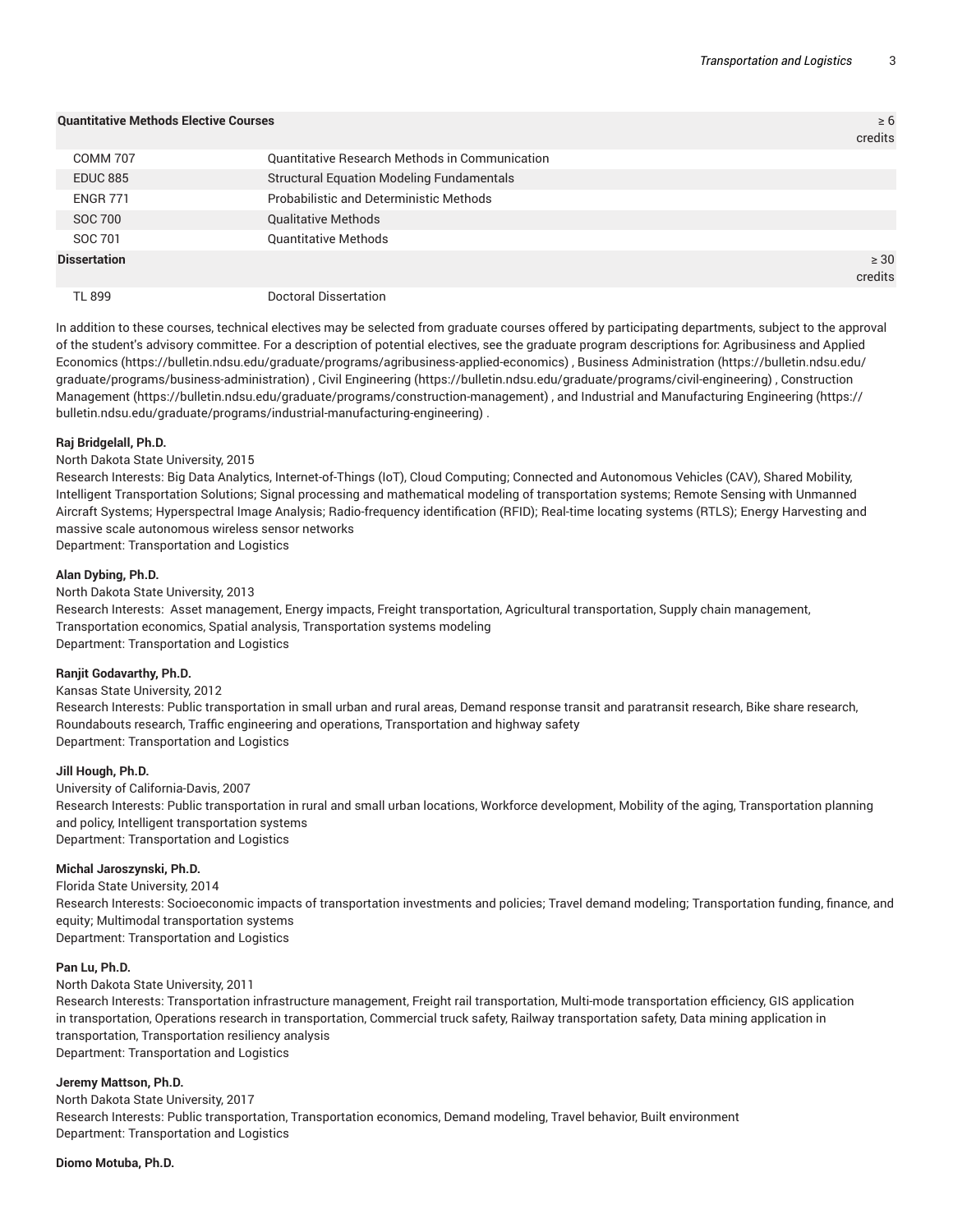| <b>Quantitative Methods Elective Courses</b> |                                                  | $\geq 6$<br>credits  |
|----------------------------------------------|--------------------------------------------------|----------------------|
| <b>COMM 707</b>                              | Quantitative Research Methods in Communication   |                      |
| <b>EDUC 885</b>                              | <b>Structural Equation Modeling Fundamentals</b> |                      |
| <b>ENGR 771</b>                              | <b>Probabilistic and Deterministic Methods</b>   |                      |
| SOC 700                                      | <b>Qualitative Methods</b>                       |                      |
| SOC 701                                      | <b>Quantitative Methods</b>                      |                      |
| <b>Dissertation</b>                          |                                                  | $\geq 30$<br>credits |
| TL 899                                       | Doctoral Dissertation                            |                      |

In addition to these courses, technical electives may be selected from graduate courses offered by participating departments, subject to the approval of the student's advisory committee. For a description of potential electives, see the graduate program descriptions for: Agribusiness and Applied Economics (https://bulletin.ndsu.edu/graduate/programs/agribusiness-applied-economics) , Business Administration (https://bulletin.ndsu.edu/ graduate/programs/business-administration) , Civil Engineering (https://bulletin.ndsu.edu/graduate/programs/civil-engineering) , Construction Management (https://bulletin.ndsu.edu/graduate/programs/construction-management) , and Industrial and Manufacturing Engineering (https:// bulletin.ndsu.edu/graduate/programs/industrial-manufacturing-engineering) .

#### **Raj Bridgelall, Ph.D.**

#### North Dakota State University, 2015

Research Interests: Big Data Analytics, Internet-of-Things (IoT), Cloud Computing; Connected and Autonomous Vehicles (CAV), Shared Mobility, Intelligent Transportation Solutions; Signal processing and mathematical modeling of transportation systems; Remote Sensing with Unmanned Aircraft Systems; Hyperspectral Image Analysis; Radio-frequency identification (RFID); Real-time locating systems (RTLS); Energy Harvesting and massive scale autonomous wireless sensor networks

Department: Transportation and Logistics

#### **Alan Dybing, Ph.D.**

North Dakota State University, 2013

Research Interests: Asset management, Energy impacts, Freight transportation, Agricultural transportation, Supply chain management, Transportation economics, Spatial analysis, Transportation systems modeling Department: Transportation and Logistics

#### **Ranjit Godavarthy, Ph.D.**

Kansas State University, 2012 Research Interests: Public transportation in small urban and rural areas, Demand response transit and paratransit research, Bike share research, Roundabouts research, Traffic engineering and operations, Transportation and highway safety Department: Transportation and Logistics

#### **Jill Hough, Ph.D.**

University of California-Davis, 2007 Research Interests: Public transportation in rural and small urban locations, Workforce development, Mobility of the aging, Transportation planning and policy, Intelligent transportation systems Department: Transportation and Logistics

#### **Michal Jaroszynski, Ph.D.**

Florida State University, 2014 Research Interests: Socioeconomic impacts of transportation investments and policies; Travel demand modeling; Transportation funding, finance, and equity; Multimodal transportation systems Department: Transportation and Logistics

#### **Pan Lu, Ph.D.**

#### North Dakota State University, 2011

Research Interests: Transportation infrastructure management, Freight rail transportation, Multi-mode transportation efficiency, GIS application in transportation, Operations research in transportation, Commercial truck safety, Railway transportation safety, Data mining application in transportation, Transportation resiliency analysis Department: Transportation and Logistics

#### **Jeremy Mattson, Ph.D.**

North Dakota State University, 2017 Research Interests: Public transportation, Transportation economics, Demand modeling, Travel behavior, Built environment Department: Transportation and Logistics

#### **Diomo Motuba, Ph.D.**